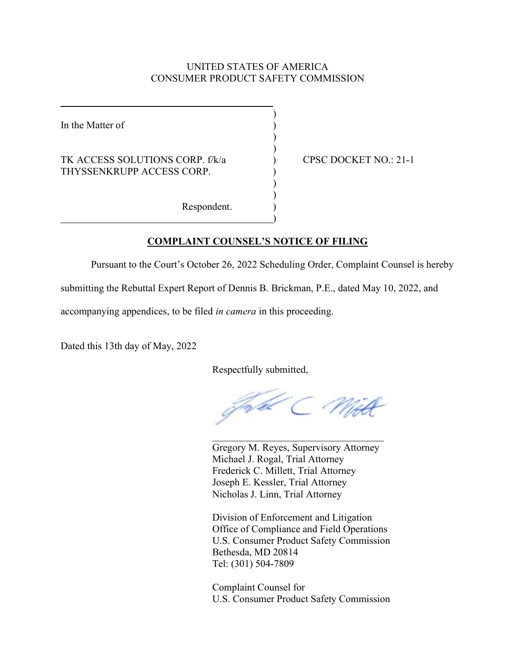## UNITED STATES OF AMERICA CONSUMER PRODUCT SAFETY COMMISSION

In the Matter of

 $\overline{a}$ 

## TK ACCESS SOLUTIONS CORP. f/k/a ) CPSC DOCKET NO.: 21-1 THYSSENKRUPP ACCESS CORP.

 $)$ 

 $)$  $)$ 

 $\overline{\phantom{a}}$  $)$ 

 $\hspace{1.5cm}$  ) and the contract of the contract of the contract of the contract of the contract of the contract of the contract of the contract of the contract of the contract of the contract of the contract of the contrac

Respondent. )

## COMPLAINT COUNSEL'S NOTICE OF FILING

Pursuant to the Court's October 26, 2022 Scheduling Order, Complaint Counsel is hereby

submitting the Rebuttal Expert Report of Dennis B. Brickman, P.E., dated May 10, 2022, and

accompanying appendices, to be filed in camera in this proceeding.

Dated this 13th day of May, 2022

Respectfully submitted,

 $\mathcal{L}_\text{max}$  and  $\mathcal{L}_\text{max}$  and  $\mathcal{L}_\text{max}$  and  $\mathcal{L}_\text{max}$  and  $\mathcal{L}_\text{max}$  and  $\mathcal{L}_\text{max}$ 

 Gregory M. Reyes, Supervisory Attorney Michael J. Rogal, Trial Attorney Frederick C. Millett, Trial Attorney Joseph E. Kessler, Trial Attorney Nicholas J. Linn, Trial Attorney

 Division of Enforcement and Litigation Office of Compliance and Field Operations U.S. Consumer Product Safety Commission Bethesda, MD 20814 Tel: (301) 504-7809

Complaint Counsel for U.S. Consumer Product Safety Commission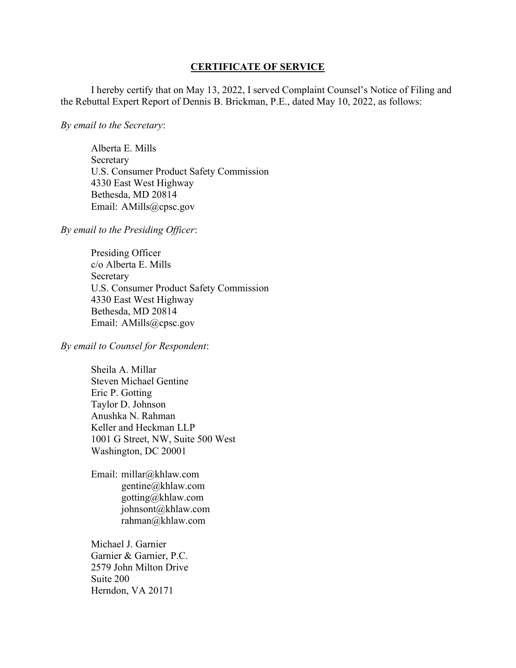## CERTIFICATE OF SERVICE

I hereby certify that on May 13, 2022, I served Complaint Counsel's Notice of Filing and the Rebuttal Expert Report of Dennis B. Brickman, P.E., dated May 10, 2022, as follows:

By email to the Secretary:

 Alberta E. Mills Secretary U.S. Consumer Product Safety Commission 4330 East West Highway Bethesda, MD 20814 Email: AMills@cpsc.gov

By email to the Presiding Officer:

 Presiding Officer c/o Alberta E. Mills Secretary U.S. Consumer Product Safety Commission 4330 East West Highway Bethesda, MD 20814 Email: AMills@cpsc.gov

By email to Counsel for Respondent:

Sheila A. Millar Steven Michael Gentine Eric P. Gotting Taylor D. Johnson Anushka N. Rahman Keller and Heckman LLP 1001 G Street, NW, Suite 500 West Washington, DC 20001

Email: millar@khlaw.com gentine@khlaw.com gotting@khlaw.com johnsont@khlaw.com rahman@khlaw.com

Michael J. Garnier Garnier & Garnier, P.C. 2579 John Milton Drive Suite 200 Herndon, VA 20171